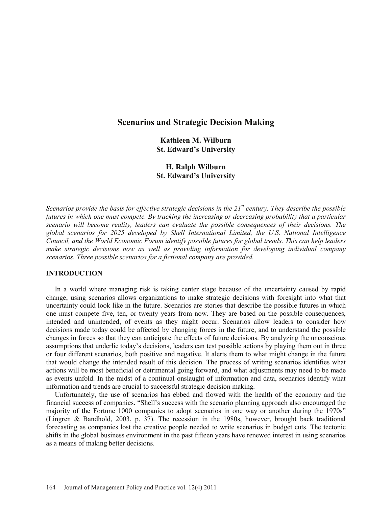# **Scenarios and Strategic Decision Making**

**Kathleen M. Wilburn St. Edward's University** 

**H. Ralph Wilburn St. Edward's University** 

*Scenarios provide the basis for effective strategic decisions in the 21<sup>st</sup> century. They describe the possible futures in which one must compete. By tracking the increasing or decreasing probability that a particular scenario will become reality, leaders can evaluate the possible consequences of their decisions. The global scenarios for 2025 developed by Shell International Limited, the U.S. National Intelligence Council, and the World Economic Forum identify possible futures for global trends. This can help leaders make strategic decisions now as well as providing information for developing individual company scenarios. Three possible scenarios for a fictional company are provided.* 

### **INTRODUCTION**

 In a world where managing risk is taking center stage because of the uncertainty caused by rapid change, using scenarios allows organizations to make strategic decisions with foresight into what that uncertainty could look like in the future. Scenarios are stories that describe the possible futures in which one must compete five, ten, or twenty years from now. They are based on the possible consequences, intended and unintended, of events as they might occur. Scenarios allow leaders to consider how decisions made today could be affected by changing forces in the future, and to understand the possible changes in forces so that they can anticipate the effects of future decisions. By analyzing the unconscious assumptions that underlie today's decisions, leaders can test possible actions by playing them out in three or four different scenarios, both positive and negative. It alerts them to what might change in the future that would change the intended result of this decision. The process of writing scenarios identifies what actions will be most beneficial or detrimental going forward, and what adjustments may need to be made as events unfold. In the midst of a continual onslaught of information and data, scenarios identify what information and trends are crucial to successful strategic decision making.

 Unfortunately, the use of scenarios has ebbed and flowed with the health of the economy and the financial success of companies. "Shell's success with the scenario planning approach also encouraged the majority of the Fortune 1000 companies to adopt scenarios in one way or another during the 1970s" (Lingren & Bandhold, 2003, p. 37). The recession in the 1980s, however, brought back traditional forecasting as companies lost the creative people needed to write scenarios in budget cuts. The tectonic shifts in the global business environment in the past fifteen years have renewed interest in using scenarios as a means of making better decisions.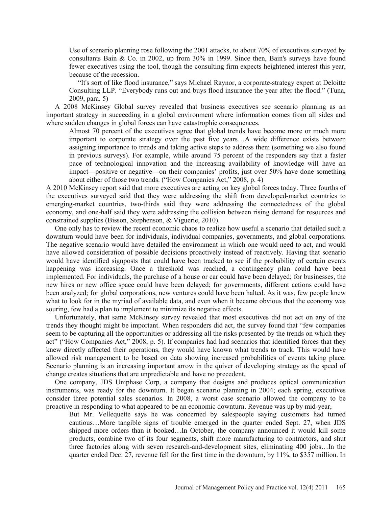Use of scenario planning rose following the 2001 attacks, to about 70% of executives surveyed by consultants Bain & Co. in 2002, up from 30% in 1999. Since then, Bain's surveys have found fewer executives using the tool, though the consulting firm expects heightened interest this year, because of the recession.

 "It's sort of like flood insurance," says Michael Raynor, a corporate-strategy expert at Deloitte Consulting LLP. "Everybody runs out and buys flood insurance the year after the flood." (Tuna, 2009, para. 5)

 A 2008 McKinsey Global survey revealed that business executives see scenario planning as an important strategy in succeeding in a global environment where information comes from all sides and where sudden changes in global forces can have catastrophic consequences.

Almost 70 percent of the executives agree that global trends have become more or much more important to corporate strategy over the past five years…A wide difference exists between assigning importance to trends and taking active steps to address them (something we also found in previous surveys). For example, while around 75 percent of the responders say that a faster pace of technological innovation and the increasing availability of knowledge will have an impact—positive or negative—on their companies' profits, just over 50% have done something about either of those two trends. ("How Companies Act," 2008, p. 4)

A 2010 McKinsey report said that more executives are acting on key global forces today. Three fourths of the executives surveyed said that they were addressing the shift from developed-market countries to emerging-market countries, two-thirds said they were addressing the connectedness of the global economy, and one-half said they were addressing the collision between rising demand for resources and constrained supplies (Bisson, Stephenson, & Viguerie, 2010).

 One only has to review the recent economic chaos to realize how useful a scenario that detailed such a downturn would have been for individuals, individual companies, governments, and global corporations. The negative scenario would have detailed the environment in which one would need to act, and would have allowed consideration of possible decisions proactively instead of reactively. Having that scenario would have identified signposts that could have been tracked to see if the probability of certain events happening was increasing. Once a threshold was reached, a contingency plan could have been implemented. For individuals, the purchase of a house or car could have been delayed; for businesses, the new hires or new office space could have been delayed; for governments, different actions could have been analyzed; for global corporations, new ventures could have been halted. As it was, few people knew what to look for in the myriad of available data, and even when it became obvious that the economy was souring, few had a plan to implement to minimize its negative effects.

 Unfortunately, that same McKinsey survey revealed that most executives did not act on any of the trends they thought might be important. When responders did act, the survey found that "few companies seem to be capturing all the opportunities or addressing all the risks presented by the trends on which they act" ("How Companies Act," 2008, p. 5). If companies had had scenarios that identified forces that they knew directly affected their operations, they would have known what trends to track. This would have allowed risk management to be based on data showing increased probabilities of events taking place. Scenario planning is an increasing important arrow in the quiver of developing strategy as the speed of change creates situations that are unpredictable and have no precedent.

 One company, JDS Uniphase Corp, a company that designs and produces optical communication instruments, was ready for the downturn. It began scenario planning in 2004; each spring, executives consider three potential sales scenarios. In 2008, a worst case scenario allowed the company to be proactive in responding to what appeared to be an economic downturn. Revenue was up by mid-year,

But Mr. Vellequette says he was concerned by salespeople saying customers had turned cautious…More tangible signs of trouble emerged in the quarter ended Sept. 27, when JDS shipped more orders than it booked…In October, the company announced it would kill some products, combine two of its four segments, shift more manufacturing to contractors, and shut three factories along with seven research-and-development sites, eliminating 400 jobs…In the quarter ended Dec. 27, revenue fell for the first time in the downturn, by 11%, to \$357 million. In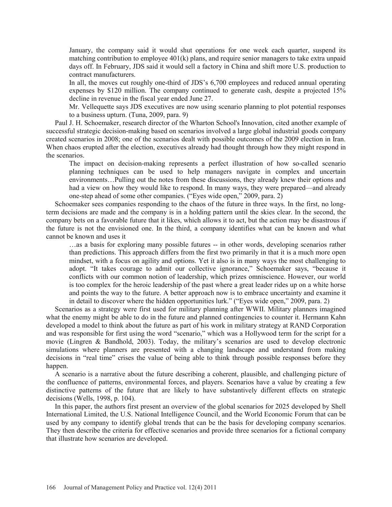January, the company said it would shut operations for one week each quarter, suspend its matching contribution to employee 401(k) plans, and require senior managers to take extra unpaid days off. In February, JDS said it would sell a factory in China and shift more U.S. production to contract manufacturers.

In all, the moves cut roughly one-third of JDS's 6,700 employees and reduced annual operating expenses by \$120 million. The company continued to generate cash, despite a projected 15% decline in revenue in the fiscal year ended June 27.

Mr. Vellequette says JDS executives are now using scenario planning to plot potential responses to a business upturn. (Tuna, 2009, para. 9)

 Paul J. H. Schoemaker, research director of the Wharton School's Innovation, cited another example of successful strategic decision-making based on scenarios involved a large global industrial goods company created scenarios in 2008; one of the scenarios dealt with possible outcomes of the 2009 election in Iran. When chaos erupted after the election, executives already had thought through how they might respond in the scenarios.

The impact on decision-making represents a perfect illustration of how so-called scenario planning techniques can be used to help managers navigate in complex and uncertain environments…Pulling out the notes from these discussions, they already knew their options and had a view on how they would like to respond. In many ways, they were prepared—and already one-step ahead of some other companies. ("Eyes wide open," 2009, para. 2)

 Schoemaker sees companies responding to the chaos of the future in three ways. In the first, no longterm decisions are made and the company is in a holding pattern until the skies clear. In the second, the company bets on a favorable future that it likes, which allows it to act, but the action may be disastrous if the future is not the envisioned one. In the third, a company identifies what can be known and what cannot be known and uses it

…as a basis for exploring many possible futures -- in other words, developing scenarios rather than predictions. This approach differs from the first two primarily in that it is a much more open mindset, with a focus on agility and options. Yet it also is in many ways the most challenging to adopt. "It takes courage to admit our collective ignorance," Schoemaker says, "because it conflicts with our common notion of leadership, which prizes omniscience. However, our world is too complex for the heroic leadership of the past where a great leader rides up on a white horse and points the way to the future. A better approach now is to embrace uncertainty and examine it in detail to discover where the hidden opportunities lurk." ("Eyes wide open," 2009, para. 2)

 Scenarios as a strategy were first used for military planning after WWII. Military planners imagined what the enemy might be able to do in the future and planned contingencies to counter it. Hermann Kahn developed a model to think about the future as part of his work in military strategy at RAND Corporation and was responsible for first using the word "scenario," which was a Hollywood term for the script for a movie (Lingren & Bandhold, 2003). Today, the military's scenarios are used to develop electronic simulations where planners are presented with a changing landscape and understand from making decisions in "real time" crises the value of being able to think through possible responses before they happen.

 A scenario is a narrative about the future describing a coherent, plausible, and challenging picture of the confluence of patterns, environmental forces, and players. Scenarios have a value by creating a few distinctive patterns of the future that are likely to have substantively different effects on strategic decisions (Wells, 1998, p. 104).

 In this paper, the authors first present an overview of the global scenarios for 2025 developed by Shell International Limited, the U.S. National Intelligence Council, and the World Economic Forum that can be used by any company to identify global trends that can be the basis for developing company scenarios. They then describe the criteria for effective scenarios and provide three scenarios for a fictional company that illustrate how scenarios are developed.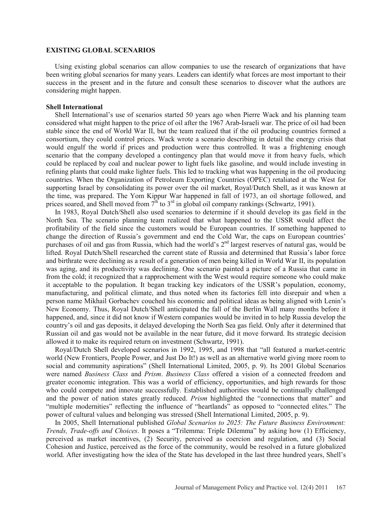### **EXISTING GLOBAL SCENARIOS**

 Using existing global scenarios can allow companies to use the research of organizations that have been writing global scenarios for many years. Leaders can identify what forces are most important to their success in the present and in the future and consult these scenarios to discover what the authors are considering might happen.

#### **Shell International**

 Shell International's use of scenarios started 50 years ago when Pierre Wack and his planning team considered what might happen to the price of oil after the 1967 Arab-Israeli war. The price of oil had been stable since the end of World War II, but the team realized that if the oil producing countries formed a consortium, they could control prices. Wack wrote a scenario describing in detail the energy crisis that would engulf the world if prices and production were thus controlled. It was a frightening enough scenario that the company developed a contingency plan that would move it from heavy fuels, which could be replaced by coal and nuclear power to light fuels like gasoline, and would include investing in refining plants that could make lighter fuels. This led to tracking what was happening in the oil producing countries. When the Organization of Petroleum Exporting Countries (OPEC) retaliated at the West for supporting Israel by consolidating its power over the oil market, Royal/Dutch Shell, as it was known at the time, was prepared. The Yom Kippur War happened in fall of 1973, an oil shortage followed, and prices soared, and Shell moved from  $7<sup>th</sup>$  to  $3<sup>rd</sup>$  in global oil company rankings (Schwartz, 1991).

 In 1983, Royal Dutch/Shell also used scenarios to determine if it should develop its gas field in the North Sea. The scenario planning team realized that what happened to the USSR would affect the profitability of the field since the customers would be European countries. If something happened to change the direction of Russia's government and end the Cold War, the caps on European countries' purchases of oil and gas from Russia, which had the world's 2<sup>nd</sup> largest reserves of natural gas, would be lifted. Royal Dutch/Shell researched the current state of Russia and determined that Russia's labor force and birthrate were declining as a result of a generation of men being killed in World War II, its population was aging, and its productivity was declining. One scenario painted a picture of a Russia that came in from the cold; it recognized that a rapprochement with the West would require someone who could make it acceptable to the population. It began tracking key indicators of the USSR's population, economy, manufacturing, and political climate, and thus noted when its factories fell into disrepair and when a person name Mikhail Gorbachev couched his economic and political ideas as being aligned with Lenin's New Economy. Thus, Royal Dutch/Shell anticipated the fall of the Berlin Wall many months before it happened, and, since it did not know if Western companies would be invited in to help Russia develop the country's oil and gas deposits, it delayed developing the North Sea gas field. Only after it determined that Russian oil and gas would not be available in the near future, did it move forward. Its strategic decision allowed it to make its required return on investment (Schwartz, 1991).

 Royal/Dutch Shell developed scenarios in 1992, 1995, and 1998 that "all featured a market-centric world (New Frontiers, People Power, and Just Do It!) as well as an alternative world giving more room to social and community aspirations" (Shell International Limited, 2005, p. 9). Its 2001 Global Scenarios were named *Business Class* and *Prism*. *Business Class* offered a vision of a connected freedom and greater economic integration. This was a world of efficiency, opportunities, and high rewards for those who could compete and innovate successfully. Established authorities would be continually challenged and the power of nation states greatly reduced. *Prism* highlighted the "connections that matter" and "multiple modernities" reflecting the influence of "heartlands" as opposed to "connected elites." The power of cultural values and belonging was stressed (Shell International Limited, 2005, p. 9).

 In 2005, Shell International published *Global Scenarios to 2025: The Future Business Environment: Trends, Trade-offs and Choices*. It poses a "Trilemma: Triple Dilemma" by asking how (1) Efficiency, perceived as market incentives, (2) Security, perceived as coercion and regulation, and (3) Social Cohesion and Justice, perceived as the force of the community, would be resolved in a future globalized world. After investigating how the idea of the State has developed in the last three hundred years, Shell's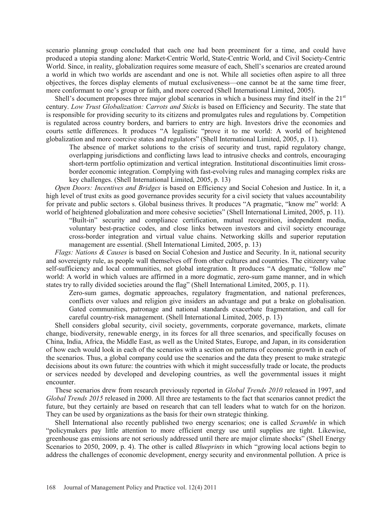scenario planning group concluded that each one had been preeminent for a time, and could have produced a utopia standing alone: Market-Centric World, State-Centric World, and Civil Society-Centric World. Since, in reality, globalization requires some measure of each, Shell's scenarios are created around a world in which two worlds are ascendant and one is not. While all societies often aspire to all three objectives, the forces display elements of mutual exclusiveness—one cannot be at the same time freer, more conformant to one's group or faith, and more coerced (Shell International Limited, 2005).

Shell's document proposes three major global scenarios in which a business may find itself in the  $21<sup>st</sup>$ century. *Low Trust Globalization: Carrots and Sticks* is based on Efficiency and Security. The state that is responsible for providing security to its citizens and promulgates rules and regulations by. Competition is regulated across country borders, and barriers to entry are high. Investors drive the economies and courts settle differences. It produces "A legalistic "prove it to me world: A world of heightened globalization and more coercive states and regulators" (Shell International Limited, 2005, p. 11).

The absence of market solutions to the crisis of security and trust, rapid regulatory change, overlapping jurisdictions and conflicting laws lead to intrusive checks and controls, encouraging short-term portfolio optimization and vertical integration. Institutional discontinuities limit crossborder economic integration. Complying with fast-evolving rules and managing complex risks are key challenges. (Shell International Limited, 2005, p. 13)

 *Open Doors: Incentives and Bridges* is based on Efficiency and Social Cohesion and Justice. In it, a high level of trust exits as good governance provides security for a civil society that values accountability for private and public sectors s. Global business thrives. It produces "A pragmatic, "know me" world: A world of heightened globalization and more cohesive societies" (Shell International Limited, 2005, p. 11).

"Built-in" security and compliance certification, mutual recognition, independent media, voluntary best-practice codes, and close links between investors and civil society encourage cross-border integration and virtual value chains. Networking skills and superior reputation management are essential. (Shell International Limited, 2005, p. 13)

 *Flags: Nations & Causes* is based on Social Cohesion and Justice and Security. In it, national security and sovereignty rule, as people wall themselves off from other cultures and countries. The citizenry value self-sufficiency and local communities, not global integration. It produces "A dogmatic, "follow me" world: A world in which values are affirmed in a more dogmatic, zero-sum game manner, and in which states try to rally divided societies around the flag" (Shell International Limited, 2005, p. 11).

Zero-sum games, dogmatic approaches, regulatory fragmentation, and national preferences, conflicts over values and religion give insiders an advantage and put a brake on globalisation. Gated communities, patronage and national standards exacerbate fragmentation, and call for careful country-risk management. (Shell International Limited, 2005, p. 13)

 Shell considers global security, civil society, governments, corporate governance, markets, climate change, biodiversity, renewable energy, in its forces for all three scenarios, and specifically focuses on China, India, Africa, the Middle East, as well as the United States, Europe, and Japan, in its consideration of how each would look in each of the scenarios with a section on patterns of economic growth in each of the scenarios. Thus, a global company could use the scenarios and the data they present to make strategic decisions about its own future: the countries with which it might successfully trade or locate, the products or services needed by developed and developing countries, as well the governmental issues it might encounter.

 These scenarios drew from research previously reported in *Global Trends 2010* released in 1997, and *Global Trends 2015* released in 2000. All three are testaments to the fact that scenarios cannot predict the future, but they certainly are based on research that can tell leaders what to watch for on the horizon. They can be used by organizations as the basis for their own strategic thinking.

 Shell International also recently published two energy scenarios; one is called *Scramble* in which "policymakers pay little attention to more efficient energy use until supplies are tight. Likewise, greenhouse gas emissions are not seriously addressed until there are major climate shocks" (Shell Energy Scenarios to 2050, 2009, p. 4). The other is called *Blueprints* in which "growing local actions begin to address the challenges of economic development, energy security and environmental pollution. A price is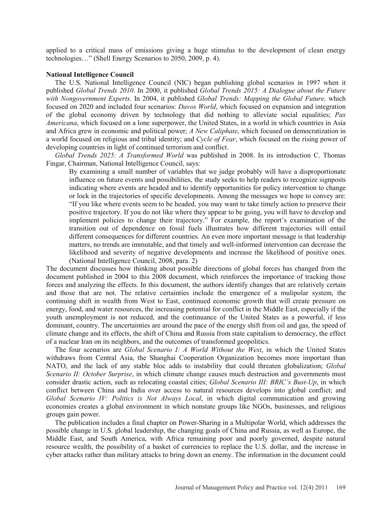applied to a critical mass of emissions giving a huge stimulus to the development of clean energy technologies…" (Shell Energy Scenarios to 2050, 2009, p. 4).

### **National Intelligence Council**

 The U.S. National Intelligence Council (NIC) began publishing global scenarios in 1997 when it published *Global Trends 2010*. In 2000, it published *Global Trends 2015: A Dialogue about the Future with Nongovernment Experts*. In 2004, it published *Global Trends: Mapping the Global Future,* which focused on 2020 and included four scenarios: *Davos World*, which focused on expansion and integration of the global economy driven by technology that did nothing to alleviate social equalities; *Pax Americana*, which focused on a lone superpower, the United States, in a world in which countries in Asia and Africa grew in economic and political power; *A New Caliphate*, which focused on democratization in a world focused on religious and tribal identity; and *Cycle of Fear*, which focused on the rising power of developing countries in light of continued terrorism and conflict.

 *Global Trends 2025: A Transformed World* was published in 2008. In its introduction C. Thomas Fingar, Chairman, National Intelligence Council, says:

By examining a small number of variables that we judge probably will have a disproportionate influence on future events and possibilities, the study seeks to help readers to recognize signposts indicating where events are headed and to identify opportunities for policy intervention to change or lock in the trajectories of specific developments. Among the messages we hope to convey are: "If you like where events seem to be headed, you may want to take timely action to preserve their positive trajectory. If you do not like where they appear to be going, you will have to develop and implement policies to change their trajectory." For example, the report's examination of the transition out of dependence on fossil fuels illustrates how different trajectories will entail different consequences for different countries. An even more important message is that leadership matters, no trends are immutable, and that timely and well-informed intervention can decrease the likelihood and severity of negative developments and increase the likelihood of positive ones. (National Intelligence Council, 2008, para. 2)

The document discusses how thinking about possible directions of global forces has changed from the document published in 2004 to this 2008 document, which reinforces the importance of tracking those forces and analyzing the effects. In this document, the authors identify changes that are relatively certain and those that are not. The relative certainties include the emergence of a mulipolar system, the continuing shift in wealth from West to East, continued economic growth that will create pressure on energy, food, and water resources, the increasing potential for conflict in the Middle East, especially if the youth unemployment is not reduced, and the continuance of the United States as a powerful, if less dominant, country. The uncertainties are around the pace of the energy shift from oil and gas, the speed of climate change and its effects, the shift of China and Russia from state capitalism to democracy, the effect of a nuclear Iran on its neighbors, and the outcomes of transformed geopolitics.

 The four scenarios are *Global Scenario I: A World Without the West*, in which the United States withdraws from Central Asia, the Shanghai Cooperation Organization becomes more important than NATO, and the lack of any stable bloc adds to instability that could threaten globalization; *Global Scenario II: October Surprise*, in which climate change causes much destruction and governments must consider drastic action, such as relocating coastal cities; *Global Scenario III: BRIC's Bust-Up*, in which conflict between China and India over access to natural resources develops into global conflict; and *Global Scenario IV: Politics is Not Always Local*, in which digital communication and growing economies creates a global environment in which nonstate groups like NGOs, businesses, and religious groups gain power.

 The publication includes a final chapter on Power-Sharing in a Multipolar World, which addresses the possible change in U.S. global leadership, the changing goals of China and Russia, as well as Europe, the Middle East, and South America, with Africa remaining poor and poorly governed, despite natural resource wealth, the possibility of a basket of currencies to replace the U.S. dollar, and the increase in cyber attacks rather than military attacks to bring down an enemy. The information in the document could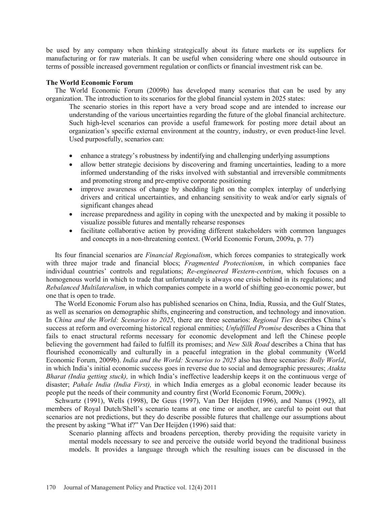be used by any company when thinking strategically about its future markets or its suppliers for manufacturing or for raw materials. It can be useful when considering where one should outsource in terms of possible increased government regulation or conflicts or financial investment risk can be.

### **The World Economic Forum**

 The World Economic Forum (2009b) has developed many scenarios that can be used by any organization. The introduction to its scenarios for the global financial system in 2025 states:

The scenario stories in this report have a very broad scope and are intended to increase our understanding of the various uncertainties regarding the future of the global financial architecture. Such high-level scenarios can provide a useful framework for posting more detail about an organization's specific external environment at the country, industry, or even product-line level. Used purposefully, scenarios can:

- enhance a strategy's robustness by indentifying and challenging underlying assumptions
- allow better strategic decisions by discovering and framing uncertainties, leading to a more informed understanding of the risks involved with substantial and irreversible commitments and promoting strong and pre-emptive corporate positioning
- improve awareness of change by shedding light on the complex interplay of underlying drivers and critical uncertainties, and enhancing sensitivity to weak and/or early signals of significant changes ahead
- increase preparedness and agility in coping with the unexpected and by making it possible to visualize possible futures and mentally rehearse responses
- facilitate collaborative action by providing different stakeholders with common languages and concepts in a non-threatening context. (World Economic Forum, 2009a, p. 77)

 Its four financial scenarios are *Financial Regionalism*, which forces companies to strategically work with three major trade and financial blocs; *Fragmented Protectionism*, in which companies face individual countries' controls and regulations; *Re-engineered Western-centrism*, which focuses on a homogenous world in which to trade that unfortunately is always one crisis behind in its regulations; and *Rebalanced Multilateralism*, in which companies compete in a world of shifting geo-economic power, but one that is open to trade.

 The World Economic Forum also has published scenarios on China, India, Russia, and the Gulf States, as well as scenarios on demographic shifts, engineering and construction, and technology and innovation. In *China and the World: Scenarios to 2025*, there are three scenarios: *Regional Ties* describes China's success at reform and overcoming historical regional enmities; *Unfulfilled Promise* describes a China that fails to enact structural reforms necessary for economic development and left the Chinese people believing the government had failed to fulfill its promises; and *New Silk Road* describes a China that has flourished economically and culturally in a peaceful integration in the global community (World Economic Forum, 2009b). *India and the World: Scenarios to 2025* also has three scenarios: *Bolly World*, in which India's initial economic success goes in reverse due to social and demographic pressures; *Atakta Bharat (India getting stuck),* in which India's ineffective leadership keeps it on the continuous verge of disaster; *Pahale India (India First),* in which India emerges as a global economic leader because its people put the needs of their community and country first (World Economic Forum, 2009c).

 Schwartz (1991), Wells (1998), De Geus (1997), Van Der Heijden (1996), and Nanus (1992), all members of Royal Dutch/Shell's scenario teams at one time or another, are careful to point out that scenarios are not predictions, but they do describe possible futures that challenge our assumptions about the present by asking "What if?" Van Der Heijden (1996) said that:

Scenario planning affects and broadens perception, thereby providing the requisite variety in mental models necessary to see and perceive the outside world beyond the traditional business models. It provides a language through which the resulting issues can be discussed in the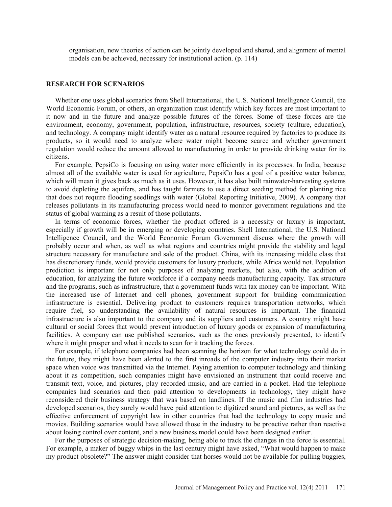organisation, new theories of action can be jointly developed and shared, and alignment of mental models can be achieved, necessary for institutional action. (p. 114)

## **RESEARCH FOR SCENARIOS**

 Whether one uses global scenarios from Shell International, the U.S. National Intelligence Council, the World Economic Forum, or others, an organization must identify which key forces are most important to it now and in the future and analyze possible futures of the forces. Some of these forces are the environment, economy, government, population, infrastructure, resources, society (culture, education), and technology. A company might identify water as a natural resource required by factories to produce its products, so it would need to analyze where water might become scarce and whether government regulation would reduce the amount allowed to manufacturing in order to provide drinking water for its citizens.

 For example, PepsiCo is focusing on using water more efficiently in its processes. In India, because almost all of the available water is used for agriculture, PepsiCo has a goal of a positive water balance, which will mean it gives back as much as it uses. However, it has also built rainwater-harvesting systems to avoid depleting the aquifers, and has taught farmers to use a direct seeding method for planting rice that does not require flooding seedlings with water (Global Reporting Initiative, 2009). A company that releases pollutants in its manufacturing process would need to monitor government regulations and the status of global warming as a result of those pollutants.

 In terms of economic forces, whether the product offered is a necessity or luxury is important, especially if growth will be in emerging or developing countries. Shell International, the U.S. National Intelligence Council, and the World Economic Forum Government discuss where the growth will probably occur and when, as well as what regions and countries might provide the stability and legal structure necessary for manufacture and sale of the product. China, with its increasing middle class that has discretionary funds, would provide customers for luxury products, while Africa would not. Population prediction is important for not only purposes of analyzing markets, but also, with the addition of education, for analyzing the future workforce if a company needs manufacturing capacity. Tax structure and the programs, such as infrastructure, that a government funds with tax money can be important. With the increased use of Internet and cell phones, government support for building communication infrastructure is essential. Delivering product to customers requires transportation networks, which require fuel, so understanding the availability of natural resources is important. The financial infrastructure is also important to the company and its suppliers and customers. A country might have cultural or social forces that would prevent introduction of luxury goods or expansion of manufacturing facilities. A company can use published scenarios, such as the ones previously presented, to identify where it might prosper and what it needs to scan for it tracking the forces.

 For example, if telephone companies had been scanning the horizon for what technology could do in the future, they might have been alerted to the first inroads of the computer industry into their market space when voice was transmitted via the Internet. Paying attention to computer technology and thinking about it as competition, such companies might have envisioned an instrument that could receive and transmit text, voice, and pictures, play recorded music, and are carried in a pocket. Had the telephone companies had scenarios and then paid attention to developments in technology, they might have reconsidered their business strategy that was based on landlines. If the music and film industries had developed scenarios, they surely would have paid attention to digitized sound and pictures, as well as the effective enforcement of copyright law in other countries that had the technology to copy music and movies. Building scenarios would have allowed those in the industry to be proactive rather than reactive about losing control over content, and a new business model could have been designed earlier.

 For the purposes of strategic decision-making, being able to track the changes in the force is essential. For example, a maker of buggy whips in the last century might have asked, "What would happen to make my product obsolete?" The answer might consider that horses would not be available for pulling buggies,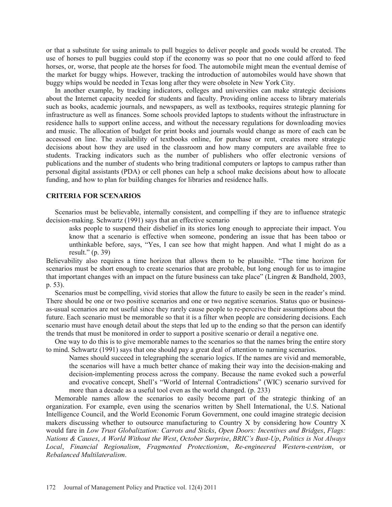or that a substitute for using animals to pull buggies to deliver people and goods would be created. The use of horses to pull buggies could stop if the economy was so poor that no one could afford to feed horses, or, worse, that people ate the horses for food. The automobile might mean the eventual demise of the market for buggy whips. However, tracking the introduction of automobiles would have shown that buggy whips would be needed in Texas long after they were obsolete in New York City.

 In another example, by tracking indicators, colleges and universities can make strategic decisions about the Internet capacity needed for students and faculty. Providing online access to library materials such as books, academic journals, and newspapers, as well as textbooks, requires strategic planning for infrastructure as well as finances. Some schools provided laptops to students without the infrastructure in residence halls to support online access, and without the necessary regulations for downloading movies and music. The allocation of budget for print books and journals would change as more of each can be accessed on line. The availability of textbooks online, for purchase or rent, creates more strategic decisions about how they are used in the classroom and how many computers are available free to students. Tracking indicators such as the number of publishers who offer electronic versions of publications and the number of students who bring traditional computers or laptops to campus rather than personal digital assistants (PDA) or cell phones can help a school make decisions about how to allocate funding, and how to plan for building changes for libraries and residence halls.

### **CRITERIA FOR SCENARIOS**

 Scenarios must be believable, internally consistent, and compelling if they are to influence strategic decision-making. Schwartz (1991) says that an effective scenario

asks people to suspend their disbelief in its stories long enough to appreciate their impact. You know that a scenario is effective when someone, pondering an issue that has been taboo or unthinkable before, says, "Yes, I can see how that might happen. And what I might do as a result." (p. 39)

Believability also requires a time horizon that allows them to be plausible. "The time horizon for scenarios must be short enough to create scenarios that are probable, but long enough for us to imagine that important changes with an impact on the future business can take place" (Lingren & Bandhold, 2003, p. 53).

 Scenarios must be compelling, vivid stories that allow the future to easily be seen in the reader's mind. There should be one or two positive scenarios and one or two negative scenarios. Status quo or businessas-usual scenarios are not useful since they rarely cause people to re-perceive their assumptions about the future. Each scenario must be memorable so that it is a filter when people are considering decisions. Each scenario must have enough detail about the steps that led up to the ending so that the person can identify the trends that must be monitored in order to support a positive scenario or derail a negative one.

 One way to do this is to give memorable names to the scenarios so that the names bring the entire story to mind. Schwartz (1991) says that one should pay a great deal of attention to naming scenarios.

Names should succeed in telegraphing the scenario logics. If the names are vivid and memorable, the scenarios will have a much better chance of making their way into the decision-making and decision-implementing process across the company. Because the name evoked such a powerful and evocative concept, Shell's "World of Internal Contradictions" (WIC) scenario survived for more than a decade as a useful tool even as the world changed. (p. 233)

 Memorable names allow the scenarios to easily become part of the strategic thinking of an organization. For example, even using the scenarios written by Shell International, the U.S. National Intelligence Council, and the World Economic Forum Government, one could imagine strategic decision makers discussing whether to outsource manufacturing to Country X by considering how Country X would fare in *Low Trust Globalization: Carrots and Sticks*, *Open Doors: Incentives and Bridges*, *Flags: Nations & Causes*, *A World Without the West*, *October Surprise*, *BRIC's Bust-Up*, *Politics is Not Always Local*, *Financial Regionalism*, *Fragmented Protectionism*, *Re-engineered Western-centrism*, or *Rebalanced Multilateralism*.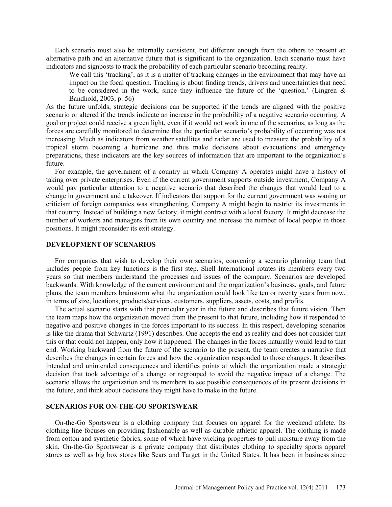Each scenario must also be internally consistent, but different enough from the others to present an alternative path and an alternative future that is significant to the organization. Each scenario must have indicators and signposts to track the probability of each particular scenario becoming reality.

We call this 'tracking', as it is a matter of tracking changes in the environment that may have an impact on the focal question. Tracking is about finding trends, drivers and uncertainties that need to be considered in the work, since they influence the future of the 'question.' (Lingren  $\&$ Bandhold, 2003, p. 56)

As the future unfolds, strategic decisions can be supported if the trends are aligned with the positive scenario or altered if the trends indicate an increase in the probability of a negative scenario occurring. A goal or project could receive a green light, even if it would not work in one of the scenarios, as long as the forces are carefully monitored to determine that the particular scenario's probability of occurring was not increasing. Much as indicators from weather satellites and radar are used to measure the probability of a tropical storm becoming a hurricane and thus make decisions about evacuations and emergency preparations, these indicators are the key sources of information that are important to the organization's future.

 For example, the government of a country in which Company A operates might have a history of taking over private enterprises. Even if the current government supports outside investment, Company A would pay particular attention to a negative scenario that described the changes that would lead to a change in government and a takeover. If indicators that support for the current government was waning or criticism of foreign companies was strengthening, Company A might begin to restrict its investments in that country. Instead of building a new factory, it might contract with a local factory. It might decrease the number of workers and managers from its own country and increase the number of local people in those positions. It might reconsider its exit strategy.

## **DEVELOPMENT OF SCENARIOS**

 For companies that wish to develop their own scenarios, convening a scenario planning team that includes people from key functions is the first step. Shell International rotates its members every two years so that members understand the processes and issues of the company. Scenarios are developed backwards. With knowledge of the current environment and the organization's business, goals, and future plans, the team members brainstorm what the organization could look like ten or twenty years from now, in terms of size, locations, products/services, customers, suppliers, assets, costs, and profits.

 The actual scenario starts with that particular year in the future and describes that future vision. Then the team maps how the organization moved from the present to that future, including how it responded to negative and positive changes in the forces important to its success. In this respect, developing scenarios is like the drama that Schwartz (1991) describes. One accepts the end as reality and does not consider that this or that could not happen, only how it happened. The changes in the forces naturally would lead to that end. Working backward from the future of the scenario to the present, the team creates a narrative that describes the changes in certain forces and how the organization responded to those changes. It describes intended and unintended consequences and identifies points at which the organization made a strategic decision that took advantage of a change or regrouped to avoid the negative impact of a change. The scenario allows the organization and its members to see possible consequences of its present decisions in the future, and think about decisions they might have to make in the future.

# **SCENARIOS FOR ON-THE-GO SPORTSWEAR**

 On-the-Go Sportswear is a clothing company that focuses on apparel for the weekend athlete. Its clothing line focuses on providing fashionable as well as durable athletic apparel. The clothing is made from cotton and synthetic fabrics, some of which have wicking properties to pull moisture away from the skin. On-the-Go Sportswear is a private company that distributes clothing to specialty sports apparel stores as well as big box stores like Sears and Target in the United States. It has been in business since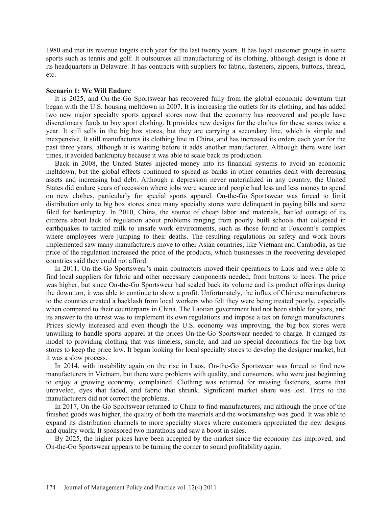1980 and met its revenue targets each year for the last twenty years. It has loyal customer groups in some sports such as tennis and golf. It outsources all manufacturing of its clothing, although design is done at its headquarters in Delaware. It has contracts with suppliers for fabric, fasteners, zippers, buttons, thread, etc.

### **Scenario 1: We Will Endure**

 It is 2025, and On-the-Go Sportswear has recovered fully from the global economic downturn that began with the U.S. housing meltdown in 2007. It is increasing the outlets for its clothing, and has added two new major specialty sports apparel stores now that the economy has recovered and people have discretionary funds to buy sport clothing. It provides new designs for the clothes for these stores twice a year. It still sells in the big box stores, but they are carrying a secondary line, which is simple and inexpensive. It still manufactures its clothing line in China, and has increased its orders each year for the past three years, although it is waiting before it adds another manufacturer. Although there were lean times, it avoided bankruptcy because it was able to scale back its production.

 Back in 2008, the United States injected money into its financial systems to avoid an economic meltdown, but the global effects continued to spread as banks in other countries dealt with decreasing assets and increasing bad debt. Although a depression never materialized in any country, the United States did endure years of recession where jobs were scarce and people had less and less money to spend on new clothes, particularly for special sports apparel. On-the-Go Sportswear was forced to limit distribution only to big box stores since many specialty stores were delinquent in paying bills and some filed for bankruptcy. In 2010, China, the source of cheap labor and materials, battled outrage of its citizens about lack of regulation about problems ranging from poorly built schools that collapsed in earthquakes to tainted milk to unsafe work environments, such as those found at Foxconn's complex where employees were jumping to their deaths. The resulting regulations on safety and work hours implemented saw many manufacturers move to other Asian countries, like Vietnam and Cambodia, as the price of the regulation increased the price of the products, which businesses in the recovering developed countries said they could not afford.

 In 2011, On-the-Go Sportswear's main contractors moved their operations to Laos and were able to find local suppliers for fabric and other necessary components needed, from buttons to laces. The price was higher, but since On-the-Go Sportswear had scaled back its volume and its product offerings during the downturn, it was able to continue to show a profit. Unfortunately, the influx of Chinese manufacturers to the counties created a backlash from local workers who felt they were being treated poorly, especially when compared to their counterparts in China. The Laotian government had not been stable for years, and its answer to the unrest was to implement its own regulations and impose a tax on foreign manufacturers. Prices slowly increased and even though the U.S. economy was improving, the big box stores were unwilling to handle sports apparel at the prices On-the-Go Sportswear needed to charge. It changed its model to providing clothing that was timeless, simple, and had no special decorations for the big box stores to keep the price low. It began looking for local specialty stores to develop the designer market, but it was a slow process.

 In 2014, with instability again on the rise in Laos, On-the-Go Sportswear was forced to find new manufacturers in Vietnam, but there were problems with quality, and consumers, who were just beginning to enjoy a growing economy, complained. Clothing was returned for missing fasteners, seams that unraveled, dyes that faded, and fabric that shrunk. Significant market share was lost. Trips to the manufacturers did not correct the problems.

 In 2017, On-the-Go Sportswear returned to China to find manufacturers, and although the price of the finished goods was higher, the quality of both the materials and the workmanship was good. It was able to expand its distribution channels to more specialty stores where customers appreciated the new designs and quality work. It sponsored two marathons and saw a boost in sales.

 By 2025, the higher prices have been accepted by the market since the economy has improved, and On-the-Go Sportswear appears to be turning the corner to sound profitability again.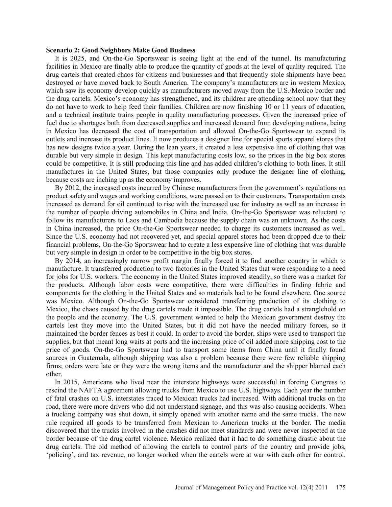#### **Scenario 2: Good Neighbors Make Good Business**

 It is 2025, and On-the-Go Sportswear is seeing light at the end of the tunnel. Its manufacturing facilities in Mexico are finally able to produce the quantity of goods at the level of quality required. The drug cartels that created chaos for citizens and businesses and that frequently stole shipments have been destroyed or have moved back to South America. The company's manufacturers are in western Mexico, which saw its economy develop quickly as manufacturers moved away from the U.S./Mexico border and the drug cartels. Mexico's economy has strengthened, and its children are attending school now that they do not have to work to help feed their families. Children are now finishing 10 or 11 years of education, and a technical institute trains people in quality manufacturing processes. Given the increased price of fuel due to shortages both from decreased supplies and increased demand from developing nations, being in Mexico has decreased the cost of transportation and allowed On-the-Go Sportswear to expand its outlets and increase its product lines. It now produces a designer line for special sports apparel stores that has new designs twice a year. During the lean years, it created a less expensive line of clothing that was durable but very simple in design. This kept manufacturing costs low, so the prices in the big box stores could be competitive. It is still producing this line and has added children's clothing to both lines. It still manufactures in the United States, but those companies only produce the designer line of clothing, because costs are inching up as the economy improves.

 By 2012, the increased costs incurred by Chinese manufacturers from the government's regulations on product safety and wages and working conditions, were passed on to their customers. Transportation costs increased as demand for oil continued to rise with the increased use for industry as well as an increase in the number of people driving automobiles in China and India. On-the-Go Sportswear was reluctant to follow its manufacturers to Laos and Cambodia because the supply chain was an unknown. As the costs in China increased, the price On-the-Go Sportswear needed to charge its customers increased as well. Since the U.S. economy had not recovered yet, and special apparel stores had been dropped due to their financial problems, On-the-Go Sportswear had to create a less expensive line of clothing that was durable but very simple in design in order to be competitive in the big box stores.

 By 2014, an increasingly narrow profit margin finally forced it to find another country in which to manufacture. It transferred production to two factories in the United States that were responding to a need for jobs for U.S. workers. The economy in the United States improved steadily, so there was a market for the products. Although labor costs were competitive, there were difficulties in finding fabric and components for the clothing in the United States and so materials had to be found elsewhere. One source was Mexico. Although On-the-Go Sportswear considered transferring production of its clothing to Mexico, the chaos caused by the drug cartels made it impossible. The drug cartels had a stranglehold on the people and the economy. The U.S. government wanted to help the Mexican government destroy the cartels lest they move into the United States, but it did not have the needed military forces, so it maintained the border fences as best it could. In order to avoid the border, ships were used to transport the supplies, but that meant long waits at ports and the increasing price of oil added more shipping cost to the price of goods. On-the-Go Sportswear had to transport some items from China until it finally found sources in Guatemala, although shipping was also a problem because there were few reliable shipping firms; orders were late or they were the wrong items and the manufacturer and the shipper blamed each other.

 In 2015, Americans who lived near the interstate highways were successful in forcing Congress to rescind the NAFTA agreement allowing trucks from Mexico to use U.S. highways. Each year the number of fatal crashes on U.S. interstates traced to Mexican trucks had increased. With additional trucks on the road, there were more drivers who did not understand signage, and this was also causing accidents. When a trucking company was shut down, it simply opened with another name and the same trucks. The new rule required all goods to be transferred from Mexican to American trucks at the border. The media discovered that the trucks involved in the crashes did not meet standards and were never inspected at the border because of the drug cartel violence. Mexico realized that it had to do something drastic about the drug cartels. The old method of allowing the cartels to control parts of the country and provide jobs, 'policing', and tax revenue, no longer worked when the cartels were at war with each other for control.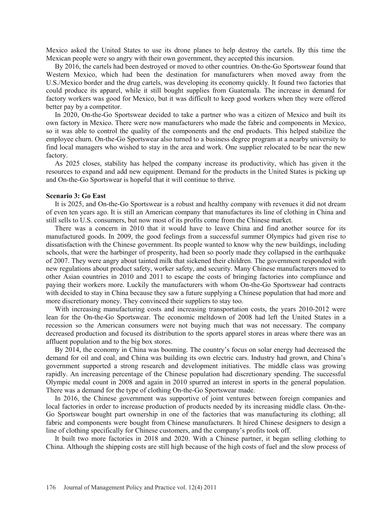Mexico asked the United States to use its drone planes to help destroy the cartels. By this time the Mexican people were so angry with their own government, they accepted this incursion.

 By 2016, the cartels had been destroyed or moved to other countries. On-the-Go Sportswear found that Western Mexico, which had been the destination for manufacturers when moved away from the U.S./Mexico border and the drug cartels, was developing its economy quickly. It found two factories that could produce its apparel, while it still bought supplies from Guatemala. The increase in demand for factory workers was good for Mexico, but it was difficult to keep good workers when they were offered better pay by a competitor.

 In 2020, On-the-Go Sportswear decided to take a partner who was a citizen of Mexico and built its own factory in Mexico. There were now manufacturers who made the fabric and components in Mexico, so it was able to control the quality of the components and the end products. This helped stabilize the employee churn. On-the-Go Sportswear also turned to a business degree program at a nearby university to find local managers who wished to stay in the area and work. One supplier relocated to be near the new factory.

 As 2025 closes, stability has helped the company increase its productivity, which has given it the resources to expand and add new equipment. Demand for the products in the United States is picking up and On-the-Go Sportswear is hopeful that it will continue to thrive.

#### **Scenario 3: Go East**

 It is 2025, and On-the-Go Sportswear is a robust and healthy company with revenues it did not dream of even ten years ago. It is still an American company that manufactures its line of clothing in China and still sells to U.S. consumers, but now most of its profits come from the Chinese market.

 There was a concern in 2010 that it would have to leave China and find another source for its manufactured goods. In 2009, the good feelings from a successful summer Olympics had given rise to dissatisfaction with the Chinese government. Its people wanted to know why the new buildings, including schools, that were the harbinger of prosperity, had been so poorly made they collapsed in the earthquake of 2007. They were angry about tainted milk that sickened their children. The government responded with new regulations about product safety, worker safety, and security. Many Chinese manufacturers moved to other Asian countries in 2010 and 2011 to escape the costs of bringing factories into compliance and paying their workers more. Luckily the manufacturers with whom On-the-Go Sportswear had contracts with decided to stay in China because they saw a future supplying a Chinese population that had more and more discretionary money. They convinced their suppliers to stay too.

 With increasing manufacturing costs and increasing transportation costs, the years 2010-2012 were lean for the On-the-Go Sportswear. The economic meltdown of 2008 had left the United States in a recession so the American consumers were not buying much that was not necessary. The company decreased production and focused its distribution to the sports apparel stores in areas where there was an affluent population and to the big box stores.

 By 2014, the economy in China was booming. The country's focus on solar energy had decreased the demand for oil and coal, and China was building its own electric cars. Industry had grown, and China's government supported a strong research and development initiatives. The middle class was growing rapidly. An increasing percentage of the Chinese population had discretionary spending. The successful Olympic medal count in 2008 and again in 2010 spurred an interest in sports in the general population. There was a demand for the type of clothing On-the-Go Sportswear made.

 In 2016, the Chinese government was supportive of joint ventures between foreign companies and local factories in order to increase production of products needed by its increasing middle class. On-the-Go Sportswear bought part ownership in one of the factories that was manufacturing its clothing; all fabric and components were bought from Chinese manufacturers. It hired Chinese designers to design a line of clothing specifically for Chinese customers, and the company's profits took off.

 It built two more factories in 2018 and 2020. With a Chinese partner, it began selling clothing to China. Although the shipping costs are still high because of the high costs of fuel and the slow process of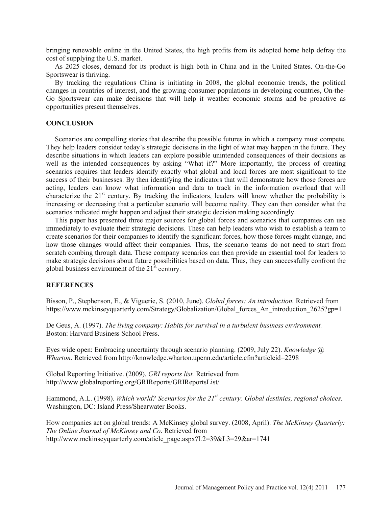bringing renewable online in the United States, the high profits from its adopted home help defray the cost of supplying the U.S. market.

 As 2025 closes, demand for its product is high both in China and in the United States. On-the-Go Sportswear is thriving.

 By tracking the regulations China is initiating in 2008, the global economic trends, the political changes in countries of interest, and the growing consumer populations in developing countries, On-the-Go Sportswear can make decisions that will help it weather economic storms and be proactive as opportunities present themselves.

# **CONCLUSION**

 Scenarios are compelling stories that describe the possible futures in which a company must compete. They help leaders consider today's strategic decisions in the light of what may happen in the future. They describe situations in which leaders can explore possible unintended consequences of their decisions as well as the intended consequences by asking "What if?" More importantly, the process of creating scenarios requires that leaders identify exactly what global and local forces are most significant to the success of their businesses. By then identifying the indicators that will demonstrate how those forces are acting, leaders can know what information and data to track in the information overload that will characterize the  $21<sup>st</sup>$  century. By tracking the indicators, leaders will know whether the probability is increasing or decreasing that a particular scenario will become reality. They can then consider what the scenarios indicated might happen and adjust their strategic decision making accordingly.

 This paper has presented three major sources for global forces and scenarios that companies can use immediately to evaluate their strategic decisions. These can help leaders who wish to establish a team to create scenarios for their companies to identify the significant forces, how those forces might change, and how those changes would affect their companies. Thus, the scenario teams do not need to start from scratch combing through data. These company scenarios can then provide an essential tool for leaders to make strategic decisions about future possibilities based on data. Thus, they can successfully confront the global business environment of the  $21^{\text{st}}$  century.

### **REFERENCES**

Bisson, P., Stephenson, E., & Viguerie, S. (2010, June). *Global forces: An introduction.* Retrieved from https://www.mckinseyquarterly.com/Strategy/Globalization/Global forces An introduction 2625?gp=1

De Geus, A. (1997). *The living company: Habits for survival in a turbulent business environment.*  Boston: Harvard Business School Press.

Eyes wide open: Embracing uncertainty through scenario planning. (2009, July 22). *Knowledge @ Wharton*. Retrieved from http://knowledge.wharton.upenn.edu/article.cfm?articleid=2298

Global Reporting Initiative. (2009). *GRI reports list.* Retrieved from http://www.globalreporting.org/GRIReports/GRIReportsList/

Hammond, A.L. (1998). *Which world? Scenarios for the 21<sup>st</sup> century: Global destinies, regional choices.* Washington, DC: Island Press/Shearwater Books.

How companies act on global trends: A McKinsey global survey. (2008, April). *The McKinsey Quarterly: The Online Journal of McKinsey and Co*. Retrieved from http://www.mckinseyquarterly.com/aticle\_page.aspx?L2=39&L3=29&ar=1741